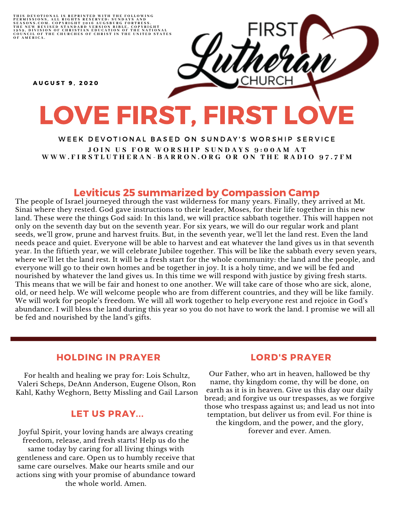THIS DEVOTIONAL IS REPRINTED WITH THE FOLLOWING<br>PERMISSIONS, ALL RIGHTS RESERVED: SUNDAYS AND<br>SEASONS.COM. COPYRIGHT 2016 AUGSBURG FORTRESS.<br>THE NEW REVISED STANDARD VERSION BIBLE, COPYRIGHT<br>1959, DIVISION OF CHRISTIAN EDU

A U G U S T 9 , 2 0 2 0

# LOVE FIRST, FIRST LOVE

WEEK DEVOTIONAL BASED ON SUNDAY'S WORSHIP SERVICE JOIN US FOR WORSHIP SUNDAYS 9:00AM AT WWW.FIRSTLUTHERAN-BARRON.ORG OR ON THE RADIO 97.7FM

### Leviticus 25 summarized by Compassion Camp

The people of Israel journeyed through the vast wilderness for many years. Finally, they arrived at Mt. Sinai where they rested. God gave instructions to their leader, Moses, for their life together in this new land. These were the things God said: In this land, we will practice sabbath together. This will happen not only on the seventh day but on the seventh year. For six years, we will do our regular work and plant seeds, we'll grow, prune and harvest fruits. But, in the seventh year, we'll let the land rest. Even the land needs peace and quiet. Everyone will be able to harvest and eat whatever the land gives us in that seventh year. In the fiftieth year, we will celebrate Jubilee together. This will be like the sabbath every seven years, where we'll let the land rest. It will be a fresh start for the whole community: the land and the people, and everyone will go to their own homes and be together in joy. It is a holy time, and we will be fed and nourished by whatever the land gives us. In this time we will respond with justice by giving fresh starts. This means that we will be fair and honest to one another. We will take care of those who are sick, alone, old, or need help. We will welcome people who are from different countries, and they will be like family. We will work for people's freedom. We will all work together to help everyone rest and rejoice in God's abundance. I will bless the land during this year so you do not have to work the land. I promise we will all be fed and nourished by the land's gifts.

#### HOLDING IN PRAYER

For health and healing we pray for: Lois Schultz, Valeri Scheps, DeAnn Anderson, Eugene Olson, Ron Kahl, Kathy Weghorn, Betty Missling and Gail Larson

#### LET US PRAY...

Joyful Spirit, your loving hands are always creating freedom, release, and fresh starts! Help us do the same today by caring for all living things with gentleness and care. Open us to humbly receive that same care ourselves. Make our hearts smile and our actions sing with your promise of abundance toward the whole world. Amen.

#### LORD'S PRAYER

Our Father, who art in heaven, hallowed be thy name, thy kingdom come, thy will be done, on earth as it is in heaven. Give us this day our daily bread; and forgive us our trespasses, as we forgive those who trespass against us; and lead us not into temptation, but deliver us from evil. For thine is the kingdom, and the power, and the glory, forever and ever. Amen.